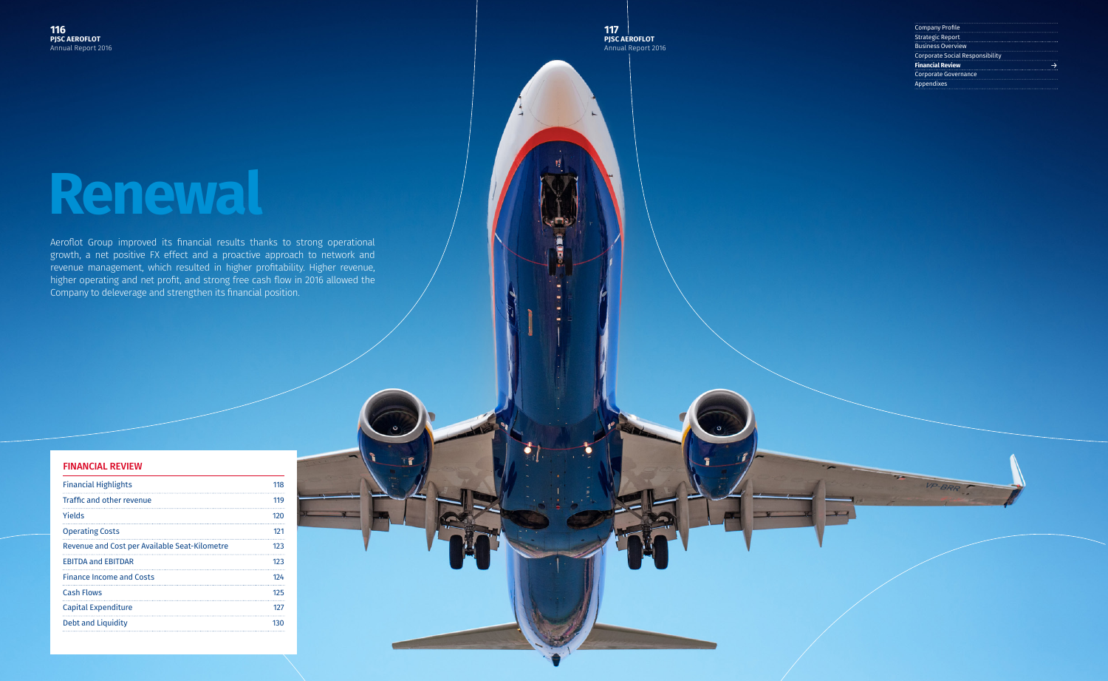**117 PJSC AEROFLOT** Annual Report 2016

| <b>Company Profile</b>                 |  |
|----------------------------------------|--|
| <b>Strategic Report</b>                |  |
| <b>Business Overview</b>               |  |
| <b>Corporate Social Responsibility</b> |  |
| <b>Financial Review</b>                |  |
| <b>Corporate Governance</b>            |  |
| <b>Appendixes</b>                      |  |
|                                        |  |

# **Renewal**

Aeroflot Group improved its financial results thanks to strong operational growth, a net positive FX effect and a proactive approach to network and revenue management, which resulted in higher profitability. Higher revenue, higher operating and net profit, and strong free cash flow in 2016 allowed the Company to deleverage and strengthen its financial position.

#### FINANCIAL REVIEW

| <b>Financial Highlights</b>                   | 118 |
|-----------------------------------------------|-----|
| Traffic and other revenue                     | 119 |
| Yields                                        | 120 |
| <b>Operating Costs</b>                        | 121 |
| Revenue and Cost per Available Seat-Kilometre | 123 |
| <b>EBITDA and EBITDAR</b>                     | 123 |
| <b>Finance Income and Costs</b>               | 124 |
| <b>Cash Flows</b>                             | 125 |
| Capital Expenditure                           | 127 |
| <b>Debt and Liquidity</b>                     | 130 |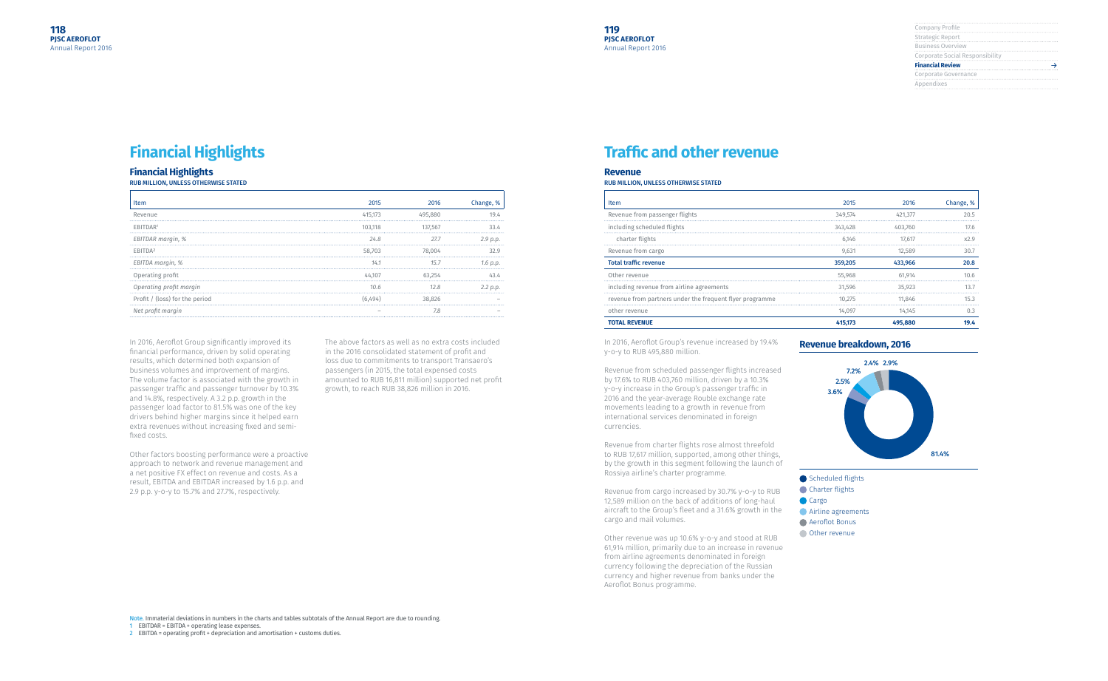| Company Profile                 |
|---------------------------------|
|                                 |
| Strategic Report                |
|                                 |
| <b>Business Overview</b>        |
| Corporate Social Responsibility |
|                                 |
| <b>Financial Review</b>         |
| Corporate Governance            |
| Appendixes                      |
|                                 |

| 2015    | 2016    | Change, % |
|---------|---------|-----------|
| 349,574 | 421,377 | 20.5      |
| 343,428 | 403,760 | 17.6      |
| 6,146   | 17,617  | x2.9      |
| 9,631   | 12,589  | 30.7      |
| 359,205 | 433,966 | 20.8      |
| 55,968  | 61,914  | 10.6      |
| 31,596  | 35,923  | 13.7      |
| 10,275  | 11,846  | 15.3      |
| 14,097  | 14,145  | 0.3       |
| 415,173 | 495,880 | 19.4      |

## **Financial Highlights**

#### **Financial Highlights**

RUB MILLION, UNLESS OTHERWISE STATED

| Item                           | 2015    | 2016    | Change,  |
|--------------------------------|---------|---------|----------|
| Revenue                        | 415.1/3 | 495.880 |          |
| FRITDAR <sup>1</sup>           | 103.118 | 137.567 |          |
| EBITDAR margin, %              | 24.8    | 27.7    | 2.9 p.p. |
| FRITDA <sup>2</sup>            | 58.703  |         |          |
| EBITDA margin, %               | 14.1    | 15.7    |          |
| Operating profit               |         |         |          |
| Operating profit margin        | 10.6    |         |          |
| Profit / (loss) for the period |         |         |          |
| Net profit margin              |         |         |          |
|                                |         |         |          |

In 2016, Aeroflot Group significantly improved its financial performance, driven by solid operating results, which determined both expansion of business volumes and improvement of margins. The volume factor is associated with the growth in passenger traffic and passenger turnover by 10.3% and 14.8%, respectively. A 3.2 p.p. growth in the passenger load factor to 81.5% was one of the key drivers behind higher margins since it helped earn extra revenues without increasing fixed and semifixed costs.

Other factors boosting performance were a proactive approach to network and revenue management and a net positive FX effect on revenue and costs. As a result, EBITDA and EBITDAR increased by 1.6 p.p. and 2.9 p.p. y-o-y to 15.7% and 27.7%, respectively.

The above factors as well as no extra costs included in the 2016 consolidated statement of profit and loss due to commitments to transport Transaero's passengers (in 2015, the total expensed costs amounted to RUB 16,811 million) supported net profit growth, to reach RUB 38,826 million in 2016.

Note. Immaterial deviations in numbers in the charts and tables subtotals of the Annual Report are due to rounding. 1 EBITDAR = EBITDA + operating lease expenses.

2 EBITDA = operating profit + depreciation and amortisation + customs duties.

#### **Revenue**

#### RUB MILLION, UNLESS OTHERWISE STATED

| <b>TOTAL REVENUE</b>                                     | 415,173 | 495,880 | 19.4      |
|----------------------------------------------------------|---------|---------|-----------|
| other revenue                                            | 14,097  | 14,145  | 0.3       |
| revenue from partners under the frequent flyer programme | 10.275  | 11.846  |           |
| including revenue from airline agreements                | 31.596  | 35.923  |           |
| Other revenue                                            | 55,968  | 61.914  | 10.6      |
| <b>Total traffic revenue</b>                             | 359,205 | 433,966 | 20.8      |
| Revenue from cargo                                       | 9,631   | 12,589  | 30.7      |
| charter flights                                          | 6.146   | 17.617  | x2.9      |
| including scheduled flights                              | 343,428 | 403.760 | 17 F      |
| Revenue from passenger flights                           | 349,574 | 421.377 | 20.5      |
| <b>Item</b>                                              | 2015    | 2016    | Change, % |
|                                                          |         |         |           |

## **Traffic and other revenue**

In 2016, Aeroflot Group's revenue increased by 19.4% y-o-y to RUB 495,880 million.

Revenue from scheduled passenger flights increased by 17.6% to RUB 403,760 million, driven by a 10.3% y-o-y increase in the Group's passenger traffic in 2016 and the year-average Rouble exchange rate movements leading to a growth in revenue from international services denominated in foreign currencies.

Revenue from charter flights rose almost threefold to RUB 17,617 million, supported, among other things, by the growth in this segment following the launch of Rossiya airline's charter programme.

Revenue from cargo increased by 30.7% y-o-y to RUB 12,589 million on the back of additions of long-haul aircraft to the Group's fleet and a 31.6% growth in the cargo and mail volumes.

Other revenue was up 10.6% y-o-y and stood at RUB 61,914 million, primarily due to an increase in revenue from airline agreements denominated in foreign currency following the depreciation of the Russian currency and higher revenue from banks under the Aeroflot Bonus programme.

#### **Revenue breakdown, 2016**



Scheduled flights

- **Charter flights**
- Cargo
- **Airline agreements**
- Aeroflot Bonus
- **Other revenue**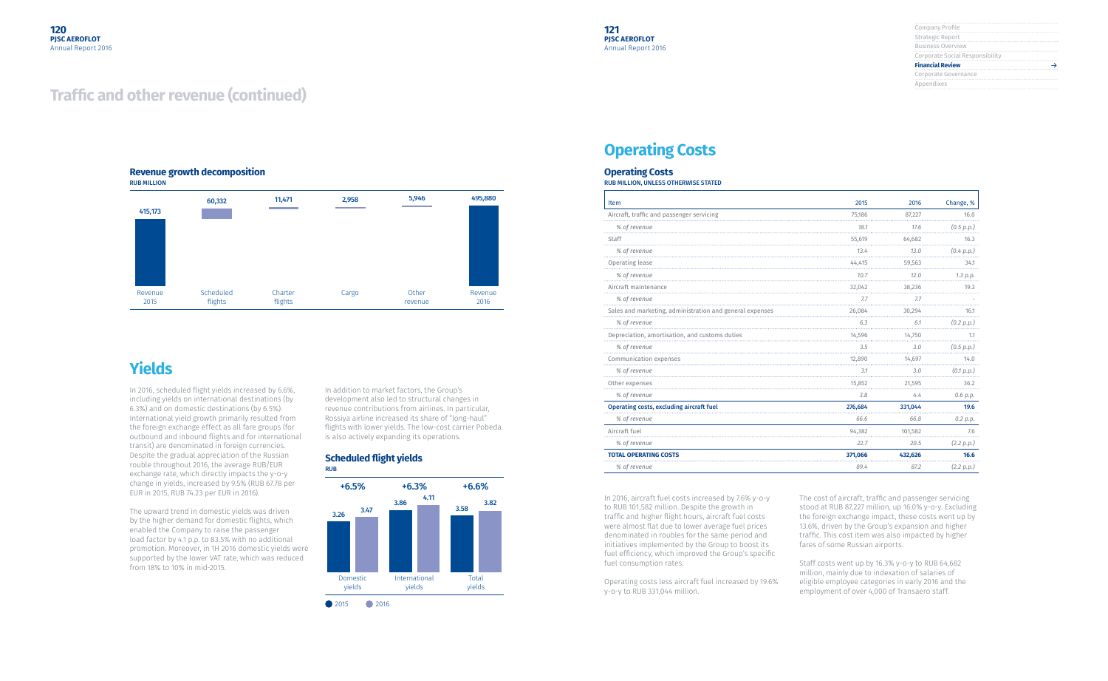| Company Profile                 |  |
|---------------------------------|--|
|                                 |  |
| Strategic Report                |  |
| <b>Business Overview</b>        |  |
| Corporate Social Responsibility |  |
| <b>Financial Review</b>         |  |
| Corporate Governance            |  |
| Appendixes                      |  |
|                                 |  |

In 2016, scheduled flight yields increased by 6.6%, including yields on international destinations (by 6.3%) and on domestic destinations (by 6.5%). International yield growth primarily resulted from the foreign exchange effect as all fare groups (for outbound and inbound flights and for international transit) are denominated in foreign currencies. Despite the gradual appreciation of the Russian rouble throughout 2016, the average RUB/EUR exchange rate, which directly impacts the y-o-y change in yields, increased by 9.5% (RUB 67.78 per EUR in 2015, RUB 74.23 per EUR in 2016).

The upward trend in domestic yields was driven by the higher demand for domestic flights, which enabled the Company to raise the passenger load factor by 4.1 p.p. to 83.5% with no additional promotion. Moreover, in 1H 2016 domestic yields were supported by the lower VAT rate, which was reduced from 18% to 10% in mid-2015.

In addition to market factors, the Group's development also led to structural changes in revenue contributions from airlines. In particular, Rossiya airline increased its share of "long-haul" flights with lower yields. The low-cost carrier Pobeda is also actively expanding its operations.

#### **Revenue growth decomposition** RUB MILLION



## **Yields**

## **Traffic and other revenue (continued)**

#### **Scheduled flight yields**

RUB



# **Operating Costs**

## **Operating Costs**

RUB MILLION, UNLESS OTHERWISE STATED

| Item                                                     | 2015    | 2016    | Change, %  |
|----------------------------------------------------------|---------|---------|------------|
| Aircraft, traffic and passenger servicing                | 75,186  | 87,227  | 16.0       |
| % of revenue                                             | 18.1    | 17.6    | (0.5 p.p.) |
| Staff                                                    | 55,619  | 64,682  | 16.3       |
| % of revenue                                             | 13.4    | 13.0    | (0.4 p.p.) |
| Operating lease                                          | 44,415  | 59,563  | 34.1       |
| % of revenue                                             | 10.7    | 12.0    | 1.3 p.p.   |
| Aircraft maintenance                                     | 32,042  | 38,236  | 19.3       |
| % of revenue                                             | 7.7     | 7.7     |            |
| Sales and marketing, administration and general expenses | 26,084  | 30,294  | 16.1       |
| % of revenue                                             | 6.3     | 6.1     | (0.2 p.p.) |
| Depreciation, amortisation, and customs duties           | 14,596  | 14,750  | 1.1        |
| % of revenue                                             | 3.5     | 3.0     | (0.5 p.p.) |
| Communication expenses                                   | 12,890  | 14,697  | 14.0       |
| % of revenue                                             | 3.1     | 3.0     | (0.1 p.p.) |
| Other expenses                                           | 15,852  | 21,595  | 36.2       |
| % of revenue                                             | 3.8     | 4.4     | 0.6 p.p.   |
| <b>Operating costs, excluding aircraft fuel</b>          | 276,684 | 331,044 | 19.6       |
| % of revenue                                             | 66.6    | 66.8    | 0.2 p.p.   |
| Aircraft fuel                                            | 94,382  | 101,582 | 7.6        |
| % of revenue                                             | 22.7    | 20.5    | (2.2 p.p.) |
| <b>TOTAL OPERATING COSTS</b>                             | 371,066 | 432,626 | 16.6       |
| % of revenue                                             | 89.4    | 87.2    | (2.2 p.p.) |

In 2016, aircraft fuel costs increased by 7.6% y-o-y to RUB 101,582 million. Despite the growth in traffic and higher flight hours, aircraft fuel costs were almost flat due to lower average fuel prices denominated in roubles for the same period and initiatives implemented by the Group to boost its fuel efficiency, which improved the Group's specific fuel consumption rates.

Operating costs less aircraft fuel increased by 19.6% y-o-y to RUB 331,044 million.

The cost of aircraft, traffic and passenger servicing stood at RUB 87,227 million, up 16.0% y-o-y. Excluding the foreign exchange impact, these costs went up by 13.6%, driven by the Group's expansion and higher traffic. This cost item was also impacted by higher fares of some Russian airports.

Staff costs went up by 16.3% y-o-y to RUB 64,682 million, mainly due to indexation of salaries of eligible employee categories in early 2016 and the employment of over 4,000 of Transaero staff.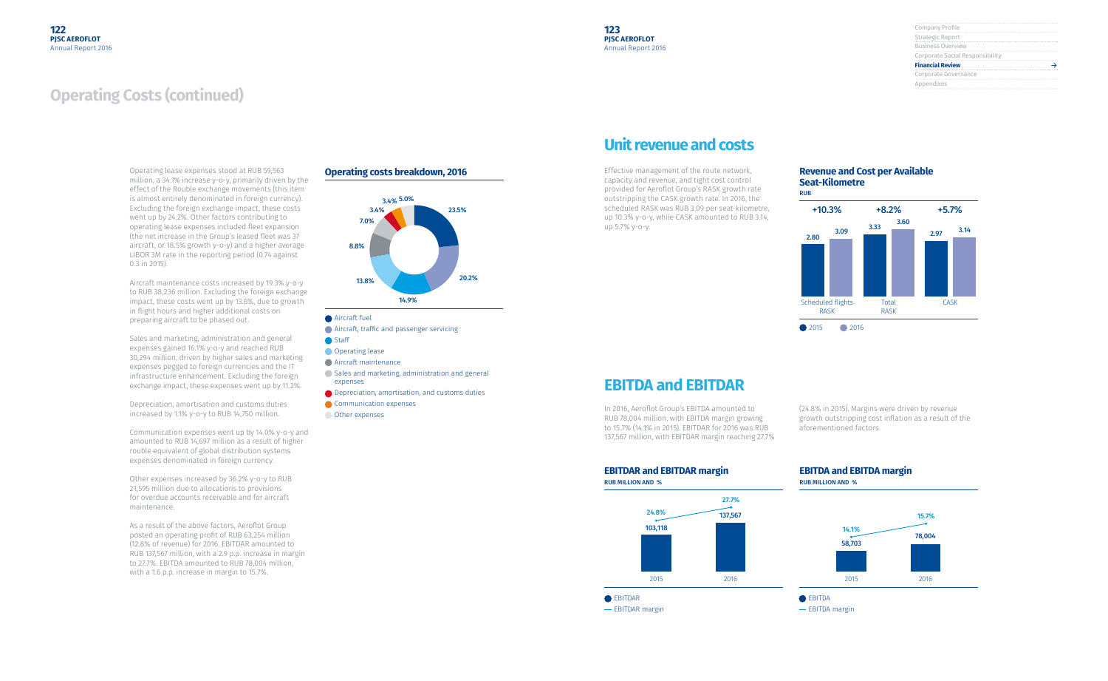| Company Profile                 |
|---------------------------------|
|                                 |
| Strategic Report                |
|                                 |
| <b>Business Overview</b>        |
| Corporate Social Responsibility |
| <b>Financial Review</b>         |
| Corporate Governance            |
| Appendixes                      |
|                                 |

## **Operating Costs (continued)**

Operating lease expenses stood at RUB 59,563 million, a 34.1% increase y-o-y, primarily driven by the effect of the Rouble exchange movements (this item is almost entirely denominated in foreign currency). Excluding the foreign exchange impact, these costs went up by 24.2%. Other factors contributing to operating lease expenses included fleet expansion (the net increase in the Group's leased fleet was 37 aircraft, or 18.5% growth y-o-y) and a higher average LIBOR 3M rate in the reporting period (0.74 against 0.3 in 2015).

Aircraft maintenance costs increased by 19.3% y-o-y to RUB 38,236 million. Excluding the foreign exchange impact, these costs went up by 13.6%, due to growth in flight hours and higher additional costs on preparing aircraft to be phased out.

Sales and marketing, administration and general expenses gained 16.1% y-o-y and reached RUB 30,294 million, driven by higher sales and marketing expenses pegged to foreign currencies and the IT infrastructure enhancement. Excluding the foreign exchange impact, these expenses went up by 11.2%.

Depreciation, amortisation and customs duties increased by 1.1% y-o-y to RUB 14,750 million.

Communication expenses went up by 14.0% y-o-y and amounted to RUB 14,697 million as a result of higher rouble equivalent of global distribution systems expenses denominated in foreign currency.



- EBITDAR margin

Other expenses increased by 36.2% y-o-y to RUB 21,595 million due to allocations to provisions for overdue accounts receivable and for aircraft maintenance.

As a result of the above factors, Aeroflot Group posted an operating profit of RUB 63,254 million (12.8% of revenue) for 2016. EBITDAR amounted to RUB 137,567 million, with a 2.9 p.p. increase in margin to 27.7%. EBITDA amounted to RUB 78,004 million, with a 1.6 p.p. increase in margin to 15.7%.

#### **Operating costs breakdown, 2016**



- Aircraft fuel
- Aircraft, traffic and passenger servicing
- Staff
- **Operating lease**
- Aircraft maintenance
- Sales and marketing, administration and general expenses
- **■** Depreciation, amortisation, and customs duties
- Communication expenses
- Other expenses

## **Unit revenue and costs**

## **EBITDA and EBITDAR**

Effective management of the route network, capacity and revenue, and tight cost control provided for Aeroflot Group's RASK growth rate outstripping the CASK growth rate. In 2016, the scheduled RASK was RUB 3.09 per seat-kilometre, up 10.3% y-o-y, while CASK amounted to RUB 3.14, up 5.7% y-o-y.

In 2016, Aeroflot Group's EBITDA amounted to RUB 78,004 million, with EBITDA margin growing to 15.7% (14.1% in 2015). EBITDAR for 2016 was RUB 137,567 million, with EBITDAR margin reaching 27.7%



(24.8% in 2015). Margins were driven by revenue growth outstripping cost inflation as a result of the aforementioned factors.

#### **EBITDAR and EBITDAR margin** RUB MILLION AND %





#### **Revenue and Cost per Available Seat-Kilometre**

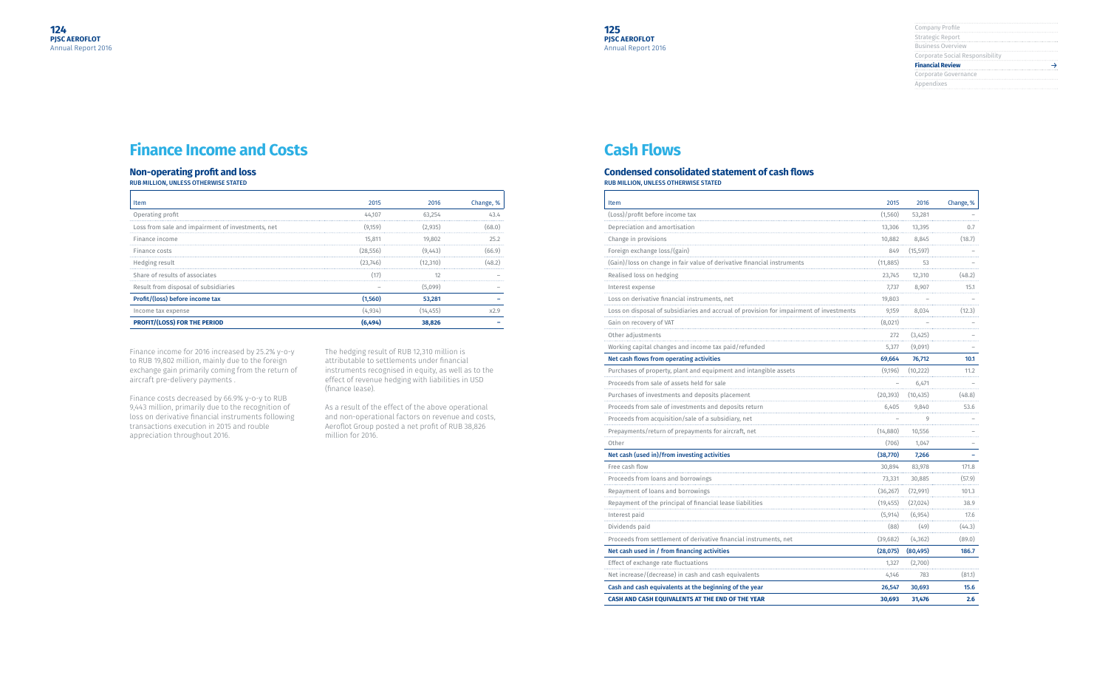| Company Profile                 |
|---------------------------------|
| Strategic Report                |
| <b>Business Overview</b>        |
| Corporate Social Responsibility |
| <b>Financial Review</b>         |
| Corporate Governance            |
| Appendixes                      |
|                                 |

## **Finance Income and Costs**

### **Non-operating profit and loss**

RUB MILLION, UNLESS OTHERWISE STATED

| Item                                              | 2015     | 2016    | Change, % |
|---------------------------------------------------|----------|---------|-----------|
| Operating profit                                  | 44.107   | 63.254  |           |
| Loss from sale and impairment of investments, net | (9.159)  | (2.935) |           |
| Finance income                                    | 15.811   | 19.802  |           |
| Finance costs                                     | (28.556) | (9.443) | 66.91     |
| Hedging result                                    | (23.746) | 12.310) |           |
| Share of results of associates                    |          |         |           |
| Result from disposal of subsidiaries              |          | (5.099) |           |
| Profit/(loss) before income tax                   | (1.560)  | 53,281  |           |
| Income tax expense                                | (4.934)  | 14.455  |           |
| <b>PROFIT/(LOSS) FOR THE PERIOD</b>               | .494     | 38.826  |           |

Finance income for 2016 increased by 25.2% y-o-y to RUB 19,802 million, mainly due to the foreign exchange gain primarily coming from the return of aircraft pre-delivery payments .

Finance costs decreased by 66.9% y-o-y to RUB 9,443 million, primarily due to the recognition of loss on derivative financial instruments following transactions execution in 2015 and rouble appreciation throughout 2016.

The hedging result of RUB 12,310 million is attributable to settlements under financial instruments recognised in equity, as well as to the effect of revenue hedging with liabilities in USD (finance lease).

As a result of the effect of the above operational and non-operational factors on revenue and costs, Aeroflot Group posted a net profit of RUB 38,826 million for 2016.

## **Cash Flows**

#### **Condensed consolidated statement of cash flows** RUB MILLION, UNLESS OTHERWISE STATED

| Item                                                                    | 2015      | 2016      | Change, % |
|-------------------------------------------------------------------------|-----------|-----------|-----------|
| (Loss)/profit before income tax                                         | (1,560)   | 53,281    |           |
| Depreciation and amortisation                                           | 13,306    | 13,395    | 0.7       |
| Change in provisions                                                    | 10,882    | 8,845     | (18.7)    |
| Foreign exchange loss/(gain)                                            | 849       | (15, 597) |           |
| (Gain)/loss on change in fair value of derivative financial instruments | (11, 885) | 53        |           |
| Realised loss on hedging                                                | 23,745    | 12,310    | (48.2)    |
| Interest expense                                                        | 7,737     | 8,907     | 15.1      |
| Loss on derivative financial instruments, net                           | 19,803    |           |           |
| Loss on disposal of subsidiaries and accrual of provision for impai     | 9,159     | 8,034     | (12.3)    |
| Gain on recovery of VAT                                                 | (8,021)   |           |           |
| Other adjustments                                                       | 272       | (3,425)   |           |
| Working capital changes and income tax paid/refunded                    | 5,377     | (9,091)   |           |
| Net cash flows from operating activities                                | 69,664    | 76,712    | 10.1      |
| Purchases of property, plant and equipment and intangible assets        | (9,196)   | (10, 222) | 11.2      |
| Proceeds from sale of assets held for sale                              |           | 6,471     |           |
| Purchases of investments and deposits placement                         | (20, 393) | (10, 435) | (48.8)    |
| Proceeds from sale of investments and deposits return                   | 6,405     | 9,840     | 53.6      |
| Proceeds from acquisition/sale of a subsidiary, net                     |           | 9         |           |
| Prepayments/return of prepayments for aircraft, net                     | (14,880)  | 10,556    |           |
| Other                                                                   | (706)     | 1,047     |           |
| Net cash (used in)/from investing activities                            | (38,770)  | 7,266     |           |
| Free cash flow                                                          | 30.894    | 83,978    | 171.8     |
| Proceeds from loans and borrowings                                      | 73,331    | 30,885    | (57.9)    |
| Repayment of loans and borrowings                                       | (36, 267) | (72, 991) | 101.3     |
| Repayment of the principal of financial lease liabilities               | (19, 455) | (27, 024) | 38.9      |
| Interest paid                                                           | (5, 914)  | (6, 954)  | 17.6      |
| Dividends paid                                                          | (88)      | (49)      | (44.3)    |
| Proceeds from settlement of derivative financial instruments, net       | (39, 682) | (4, 362)  | (89.0)    |
| Net cash used in / from financing activities                            | (28, 075) | (80, 495) | 186.7     |
| Effect of exchange rate fluctuations                                    | 1,327     | (2,700)   |           |
| Net increase/(decrease) in cash and cash equivalents                    | 4,146     | 783       | (81.1)    |
| Cash and cash equivalents at the beginning of the year                  | 26,547    | 30,693    | 15.6      |
| CASH AND CASH EQUIVALENTS AT THE END OF THE YEAR                        | 30,693    | 31,476    | 2.6       |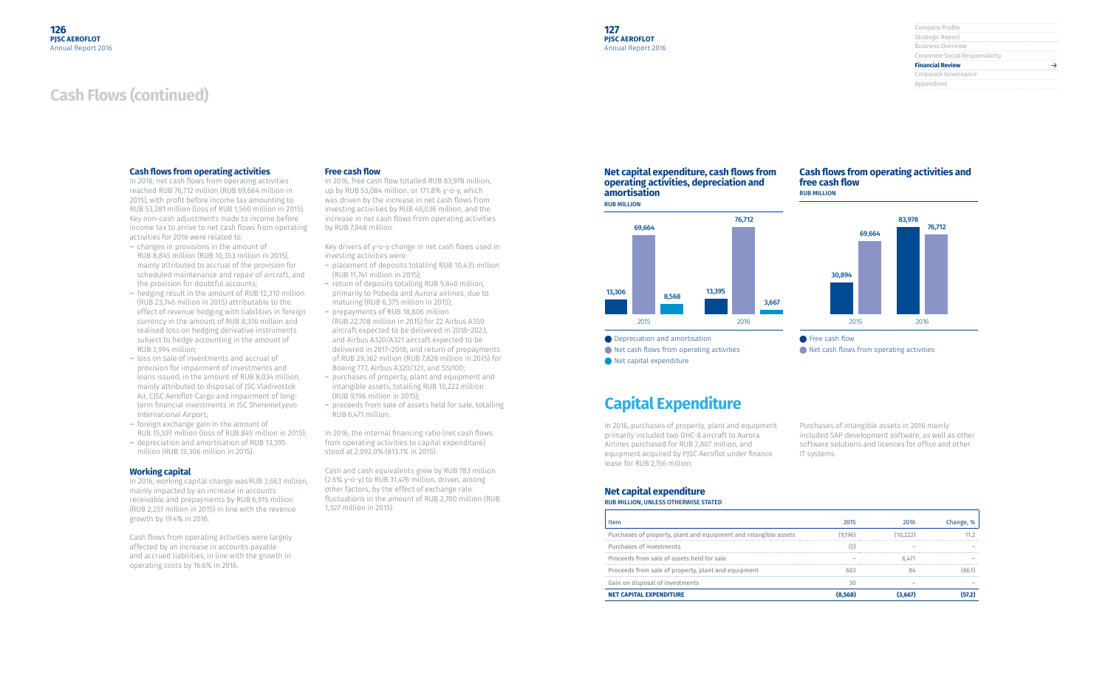| Company Profile                 |
|---------------------------------|
| Strategic Report                |
| <b>Business Overview</b>        |
| Corporate Social Responsibility |
| <b>Financial Review</b>         |
| Corporate Governance            |
| Appendixes                      |
|                                 |

## **Cash Flows (continued)**

#### **Cash flows from operating activities**

In 2016, net cash flows from operating activities reached RUB 76,712 million (RUB 69,664 million in 2015), with profit before income tax amounting to RUB 53,281 million (loss of RUB 1,560 million in 2015). Key non-cash adjustments made to income before income tax to arrive to net cash flows from operating activities for 2016 were related to:

- ― changes in provisions in the amount of RUB 8,845 million (RUB 10,353 million in 2015), mainly attributed to accrual of the provision for scheduled maintenance and repair of aircraft, and the provision for doubtful accounts;
- ― hedging result in the amount of RUB 12,310 million (RUB 23,746 million in 2015) attributable to the effect of revenue hedging with liabilities in foreign currency in the amount of RUB 8,316 million and realised loss on hedging derivative instruments subject to hedge accounting in the amount of RUB 3,994 million;
- ― loss on sale of investments and accrual of provision for impairment of investments and loans issued, in the amount of RUB 8,034 million, mainly attributed to disposal of JSC Vladivostok Air, CJSC Aeroflot-Cargo and impairment of longterm financial investments in JSC Sheremetyevo International Airport;
- ― foreign exchange gain in the amount of RUB 15,597 million (loss of RUB 849 million in 2015);
- ― depreciation and amortisation of RUB 13,395 million (RUB 13,306 million in 2015).

#### **Working capital**

In 2016, working capital change wasRUB 3,663 million, mainly impacted by an increase in accounts receivable and prepayments by RUB 6,915 million (RUB 2,251 million in 2015) in line with the revenue growth by 19.4% in 2016.

Cash flows from operating activities were largely affected by an increase in accounts payable and accrued liabilities, in line with the growth in operating costs by 16.6% in 2016.

#### **Free cash flow**

Purchases of intangible assets in 2016 mainly included SAP development software, as well as other software solutions and licences for office and other IT systems.

In 2016, free cash flow totalled RUB 83,978 million, up by RUB 53,084 million, or 171.8% y-o-y, which was driven by the increase in net cash flows from investing activities by RUB 46,036 million, and the increase in net cash flows from operating activities by RUB 7,048 million.

- Purchases of property, plant and equipment and intangible assets Purchases of investments Proceeds from sale of assets held for sale Proceeds from sale of property, plant and equipment Gain on disposal of investments
- **NET CAPITAL EXPENDITURE (8,568) (3,667) (57.2)**

Key drivers of y-o-y change in net cash flows used in investing activities were:

- ― placement of deposits totalling RUB 10,435 million (RUB 11,741 million in 2015);
- ― return of deposits totalling RUB 9,840 million, primarily to Pobeda and Aurora airlines, due to maturing (RUB 6,375 million in 2015); ― prepayments of RUB 18,806 million
- (RUB 22,708 million in 2015) for 22 Airbus A350 aircraft expected to be delivered in 2018–2023, and Airbus A320/A321 aircraft expected to be delivered in 2017–2018, and return of prepayments of RUB 29,362 million (RUB 7,828 million in 2015) for Boeing 777, Airbus A320/321, and SSJ100;
- ― purchases of property, plant and equipment and intangible assets, totalling RUB 10,222 million (RUB 9,196 million in 2015);
- ― proceeds from sale of assets held for sale, totalling RUB 6,471 million.

In 2016, the internal financing ratio (net cash flows from operating activities to capital expenditure) stood at 2,092.0% (813.1% in 2015).

Cash and cash equivalents grew by RUB 783 million (2.6% y-o-y) to RUB 31,476 million, driven, among other factors, by the effect of exchange rate fluctuations in the amount of RUB 2,700 million (RUB 1,327 million in 2015).

#### **Net capital expenditure, cash flows from operating activities, depreciation and amortisation** RUB MILLION

#### **Cash flows from operating activities and free cash flow** RUB MILLION



**Depreciation and amortisation** 

- **Net cash flows from operating activities**
- Net capital expenditure



**■** Net cash flows from operating activities

## **Capital Expenditure**

In 2016, purchases of property, plant and equipment primarily included two DHC-8 aircraft to Aurora Airlines purchased for RUB 2,807 million, and equipment acquired by PJSC Aeroflot under finance lease for RUB 2,156 million.

#### **Net capital expenditure**

RUB MILLION, UNLESS OTHERWISE STATED

| <b>Item</b>                                                      | 2015    | 2016  |  |
|------------------------------------------------------------------|---------|-------|--|
| Purchases of property, plant and equipment and intangible assets | (9.196) |       |  |
| Purchases of investments                                         |         |       |  |
| Proceeds from sale of assets held for sale                       |         | 6.471 |  |
| Proceeds from sale of property, plant and equipment              |         |       |  |
| Gain on disposal of investments                                  |         |       |  |
| <b>NET CAPITAL EXPENDITURE</b>                                   |         |       |  |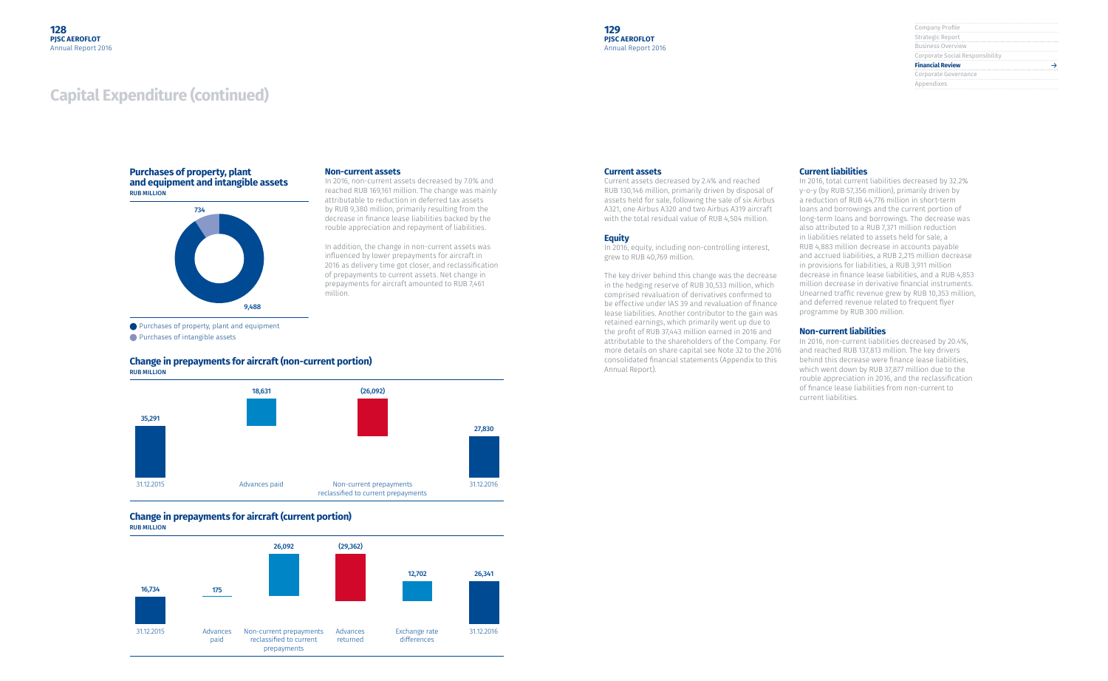| Company Profile                 |
|---------------------------------|
| Strategic Report                |
| <b>Business Overview</b>        |
| Corporate Social Responsibility |
| <b>Financial Review</b>         |
| Corporate Governance            |
| Appendixes                      |
|                                 |

## **Capital Expenditure (continued)**

#### **Non-current assets**

In 2016, non-current assets decreased by 7.0% and reached RUB 169,161 million. The change was mainly attributable to reduction in deferred tax assets by RUB 9,380 million, primarily resulting from the decrease in finance lease liabilities backed by the rouble appreciation and repayment of liabilities.

Purchases of property, plant and equipment **Purchases of intangible assets** 

In addition, the change in non-current assets was influenced by lower prepayments for aircraft in 2016 as delivery time got closer, and reclassification of prepayments to current assets. Net change in prepayments for aircraft amounted to RUB 7,461 million.

#### **Purchases of property, plant and equipment and intangible assets** RUB MILLION

#### **Change in prepayments for aircraft (non-current portion)** RUB MILLION

#### **Change in prepayments for aircraft (current portion)** RUB MILLION







#### **Current assets**

Current assets decreased by 2.4% and reached RUB 130,146 million, primarily driven by disposal of assets held for sale, following the sale of six Airbus A321, one Airbus A320 and two Airbus A319 aircraft with the total residual value of RUB 4,504 million.

#### **Equity**

In 2016, equity, including non-controlling interest, grew to RUB 40,769 million.

The key driver behind this change was the decrease in the hedging reserve of RUB 30,533 million, which comprised revaluation of derivatives confirmed to be effective under IAS 39 and revaluation of finance lease liabilities. Another contributor to the gain was retained earnings, which primarily went up due to the profit of RUB 37,443 million earned in 2016 and attributable to the shareholders of the Company. For more details on share capital see Note 32 to the 2016 consolidated financial statements (Appendix to this Annual Report).

#### **Current liabilities**

In 2016, total current liabilities decreased by 32.2% y-o-y (by RUB 57,356 million), primarily driven by a reduction of RUB 44,776 million in short-term loans and borrowings and the current portion of long-term loans and borrowings. The decrease was also attributed to a RUB 7,371 million reduction in liabilities related to assets held for sale, a RUB 4,883 million decrease in accounts payable and accrued liabilities, a RUB 2,215 million decrease in provisions for liabilities, a RUB 3,911 million decrease in finance lease liabilities, and a RUB 4,853 million decrease in derivative financial instruments. Unearned traffic revenue grew by RUB 10,353 million, and deferred revenue related to frequent flyer programme by RUB 300 million.

#### **Non-current liabilities**

In 2016, non-current liabilities decreased by 20.4%, and reached RUB 137,813 million. The key drivers behind this decrease were finance lease liabilities, which went down by RUB 37,877 million due to the rouble appreciation in 2016, and the reclassification of finance lease liabilities from non-current to current liabilities.